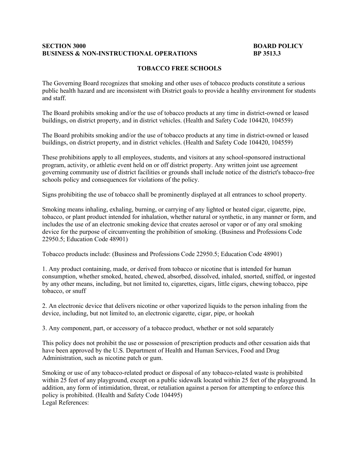## **BUSINESS & NON-INSTRUCTIONAL OPERATIONS** BP 3513.3 **SECTION 3000** BOARD POLICY

## **TOBACCO FREE SCHOOLS**

 The Governing Board recognizes that smoking and other uses of tobacco products constitute a serious public health hazard and are inconsistent with District goals to provide a healthy environment for students and staff.

 The Board prohibits smoking and/or the use of tobacco products at any time in district-owned or leased buildings, on district property, and in district vehicles. (Health and Safety Code 104420, 104559)

 The Board prohibits smoking and/or the use of tobacco products at any time in district-owned or leased buildings, on district property, and in district vehicles. (Health and Safety Code 104420, 104559)

buildings, on district property, and in district vehicles. (Health and Safety Code 104420, 104559)<br>These prohibitions apply to all employees, students, and visitors at any school-sponsored instructional governing community use of district facilities or grounds shall include notice of the district's tobacco-free program, activity, or athletic event held on or off district property. Any written joint use agreement schools policy and consequences for violations of the policy.

Signs prohibiting the use of tobacco shall be prominently displayed at all entrances to school property.

 includes the use of an electronic smoking device that creates aerosol or vapor or of any oral smoking Smoking means inhaling, exhaling, burning, or carrying of any lighted or heated cigar, cigarette, pipe, tobacco, or plant product intended for inhalation, whether natural or synthetic, in any manner or form, and device for the purpose of circumventing the prohibition of smoking. (Business and Professions Code 22950.5; Education Code 48901)

Tobacco products include: (Business and Professions Code 22950.5; Education Code 48901)

 1. Any product containing, made, or derived from tobacco or nicotine that is intended for human by any other means, including, but not limited to, cigarettes, cigars, little cigars, chewing tobacco, pipe consumption, whether smoked, heated, chewed, absorbed, dissolved, inhaled, snorted, sniffed, or ingested tobacco, or snuff

2. An electronic device that delivers nicotine or other vaporized liquids to the person inhaling from the device, including, but not limited to, an electronic cigarette, cigar, pipe, or hookah

3. Any component, part, or accessory of a tobacco product, whether or not sold separately

 This policy does not prohibit the use or possession of prescription products and other cessation aids that have been approved by the U.S. Department of Health and Human Services, Food and Drug Administration, such as nicotine patch or gum.

 within 25 feet of any playground, except on a public sidewalk located within 25 feet of the playground. In addition, any form of intimidation, threat, or retaliation against a person for attempting to enforce this policy is prohibited. (Health and Safety Code 104495) Smoking or use of any tobacco-related product or disposal of any tobacco-related waste is prohibited Legal References: